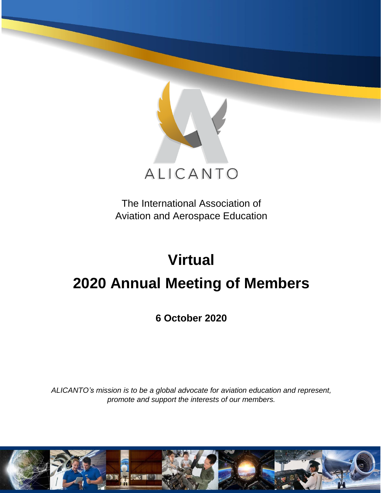

The International Association of Aviation and Aerospace Education

# **Virtual**

# **2020 Annual Meeting of Members**

**6 October 2020**

*ALICANTO's mission is to be a global advocate for aviation education and represent, promote and support the interests of our members.*

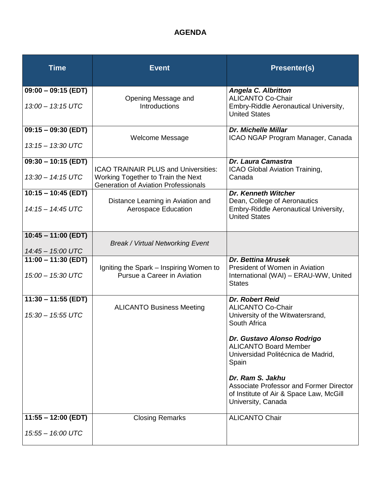# **AGENDA**

| <b>Time</b>           | <b>Event</b>                                                                      | <b>Presenter(s)</b>                                                                                                                 |
|-----------------------|-----------------------------------------------------------------------------------|-------------------------------------------------------------------------------------------------------------------------------------|
| $09:00 - 09:15$ (EDT) |                                                                                   | <b>Angela C. Albritton</b>                                                                                                          |
| 13:00 - 13:15 UTC     | Opening Message and<br><b>Introductions</b>                                       | <b>ALICANTO Co-Chair</b><br>Embry-Riddle Aeronautical University,<br><b>United States</b>                                           |
| $09:15 - 09:30$ (EDT) |                                                                                   | <b>Dr. Michelle Millar</b>                                                                                                          |
| 13:15 - 13:30 UTC     | <b>Welcome Message</b>                                                            | ICAO NGAP Program Manager, Canada                                                                                                   |
| $09:30 - 10:15$ (EDT) | <b>ICAO TRAINAIR PLUS and Universities:</b>                                       | <b>Dr. Laura Camastra</b>                                                                                                           |
| $13:30 - 14:15$ UTC   | Working Together to Train the Next<br><b>Generation of Aviation Professionals</b> | ICAO Global Aviation Training,<br>Canada                                                                                            |
| $10:15 - 10:45$ (EDT) | Distance Learning in Aviation and                                                 | <b>Dr. Kenneth Witcher</b><br>Dean, College of Aeronautics                                                                          |
| 14:15 - 14:45 UTC     | <b>Aerospace Education</b>                                                        | Embry-Riddle Aeronautical University,<br><b>United States</b>                                                                       |
| $10:45 - 11:00$ (EDT) |                                                                                   |                                                                                                                                     |
| 14:45 - 15:00 UTC     | <b>Break / Virtual Networking Event</b>                                           |                                                                                                                                     |
| $11:00 - 11:30$ (EDT) |                                                                                   | <b>Dr. Bettina Mrusek</b><br>President of Women in Aviation                                                                         |
| 15:00 - 15:30 UTC     | Igniting the Spark – Inspiring Women to<br>Pursue a Career in Aviation            | International (WAI) - ERAU-WW, United<br><b>States</b>                                                                              |
| $11:30 - 11:55$ (EDT) |                                                                                   | Dr. Robert Reid                                                                                                                     |
| $15:30 - 15:55$ UTC   | <b>ALICANTO Business Meeting</b>                                                  | <b>ALICANTO Co-Chair</b><br>University of the Witwatersrand,<br>South Africa                                                        |
|                       |                                                                                   | Dr. Gustavo Alonso Rodrigo<br><b>ALICANTO Board Member</b><br>Universidad Politécnica de Madrid,<br>Spain                           |
|                       |                                                                                   | Dr. Ram S. Jakhu<br><b>Associate Professor and Former Director</b><br>of Institute of Air & Space Law, McGill<br>University, Canada |
| $11:55 - 12:00$ (EDT) | <b>Closing Remarks</b>                                                            | <b>ALICANTO Chair</b>                                                                                                               |
| 15:55 - 16:00 UTC     |                                                                                   |                                                                                                                                     |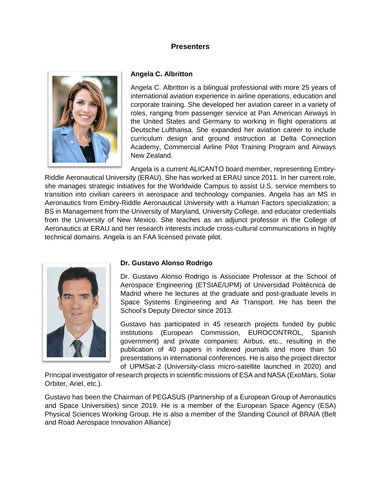# **Presenters**



#### **Angela C. Albritton**

Angela C. Albritton is a bilingual professional with more 25 years of international aviation experience in airline operations, education and corporate training. She developed her aviation career in a variety of roles, ranging from passenger service at Pan American Airways in the United States and Germany to working in flight operations at Deutsche Lufthansa. She expanded her aviation career to include curriculum design and ground instruction at Delta Connection Academy, Commercial Airline Pilot Training Program and Airways New Zealand.

Angela is a current ALICANTO board member, representing Embry-Riddle Aeronautical University (ERAU). She has worked at ERAU since 2011. In her current role, she manages strategic initiatives for the Worldwide Campus to assist U.S. service members to transition into civilian careers in aerospace and technology companies. Angela has an MS in Aeronautics from Embry-Riddle Aeronautical University with a Human Factors specialization; a BS in Management from the University of Maryland, University College, and educator credentials from the University of New Mexico. She teaches as an adjunct professor in the College of Aeronautics at ERAU and her research interests include cross-cultural communications in highly technical domains. Angela is an FAA licensed private pilot.



#### **Dr. Gustavo Alonso Rodrigo**

Dr. Gustavo Alonso Rodrigo is Associate Professor at the School of Aerospace Engineering (ETSIAE/UPM) of Universidad Politécnica de Madrid where he lectures at the graduate and post-graduate levels in Space Systems Engineering and Air Transport. He has been the School's Deputy Director since 2013.

Gustavo has participated in 45 research projects funded by public institutions (European Commission, EUROCONTROL, Spanish government) and private companies: Airbus, etc., resulting in the publication of 40 papers in indexed journals and more than 50 presentations in international conferences. He is also the project director of UPMSat-2 (University-class micro-satellite launched in 2020) and

Principal investigator of research projects in scientific missions of ESA and NASA (ExoMars, Solar Orbiter, Ariel, etc.).

Gustavo has been the Chairman of PEGASUS (Partnership of a European Group of Aeronautics and Space Universities) since 2019. He is a member of the European Space Agency (ESA) Physical Sciences Working Group. He is also a member of the Standing Council of BRAIA (Belt and Road Aerospace Innovation Alliance)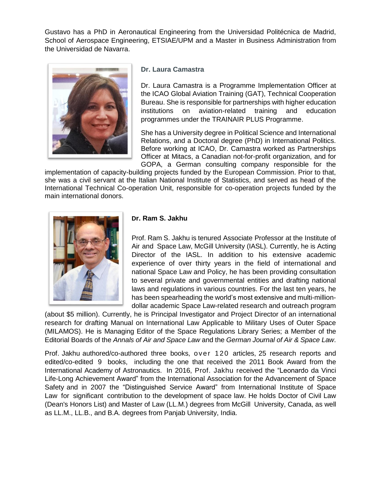Gustavo has a PhD in Aeronautical Engineering from the Universidad Politécnica de Madrid, School of Aerospace Engineering, ETSIAE/UPM and a Master in Business Administration from the Universidad de Navarra.



#### **Dr. Laura Camastra**

Dr. Laura Camastra is a Programme Implementation Officer at the ICAO Global Aviation Training (GAT), Technical Cooperation Bureau. She is responsible for partnerships with higher education institutions on aviation-related training and education programmes under the TRAINAIR PLUS Programme.

She has a University degree in Political Science and International Relations, and a Doctoral degree (PhD) in International Politics. Before working at ICAO, Dr. Camastra worked as Partnerships Officer at Mitacs, a Canadian not-for-profit organization, and for GOPA, a German consulting company responsible for the

implementation of capacity-building projects funded by the European Commission. Prior to that, she was a civil servant at the Italian National Institute of Statistics, and served as head of the International Technical Co-operation Unit, responsible for co-operation projects funded by the main international donors.



#### **Dr. Ram S. Jakhu**

Prof. Ram S. Jakhu is tenured Associate Professor at the Institute of Air and Space Law, McGill University (IASL). Currently, he is Acting Director of the IASL. In addition to his extensive academic experience of over thirty years in the field of international and national Space Law and Policy, he has been providing consultation to several private and governmental entities and drafting national laws and regulations in various countries. For the last ten years, he has been spearheading the world's most extensive and multi-milliondollar academic Space Law-related research and outreach program

(about \$5 million). Currently, he is Principal Investigator and Project Director of an international research for drafting Manual on International Law Applicable to Military Uses of Outer Space (MILAMOS). He is Managing Editor of the Space Regulations Library Series; a Member of the Editorial Boards of the *Annals of Air and Space Law* and the *German Journal of Air & Space Law*.

Prof. Jakhu authored/co-authored three books, over 120 articles, 25 research reports and edited/co-edited 9 books, including the one that received the 2011 Book Award from the International Academy of Astronautics. In 2016, Prof. Jakhu received the "Leonardo da Vinci Life-Long Achievement Award" from the International Association for the Advancement of Space Safety and in 2007 the "Distinguished Service Award" from International Institute of Space Law for significant contribution to the development of space law. He holds Doctor of Civil Law (Dean's Honors List) and Master of Law (LL.M.) degrees from McGill University, Canada, as well as LL.M., LL.B., and B.A. degrees from Panjab University, India.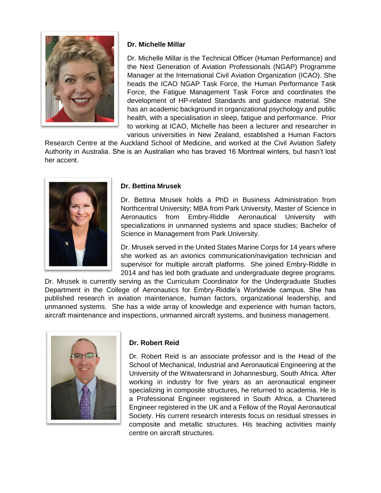

# **Dr. Michelle Millar**

Dr. Michelle Millar is the Technical Officer (Human Performance) and the Next Generation of Aviation Professionals (NGAP) Programme Manager at the International Civil Aviation Organization (ICAO). She heads the ICAO NGAP Task Force, the Human Performance Task Force, the Fatigue Management Task Force and coordinates the development of HP-related Standards and guidance material. She has an academic background in organizational psychology and public health, with a specialisation in sleep, fatigue and performance. Prior to working at ICAO, Michelle has been a lecturer and researcher in various universities in New Zealand, established a Human Factors

Research Centre at the Auckland School of Medicine, and worked at the Civil Aviation Safety Authority in Australia. She is an Australian who has braved 16 Montreal winters, but hasn't lost her accent.



# **Dr. Bettina Mrusek**

Dr. Bettina Mrusek holds a PhD in Business Administration from Northcentral University; MBA from Park University, Master of Science in Aeronautics from Embry-Riddle Aeronautical University with specializations in unmanned systems and space studies; Bachelor of Science in Management from Park University.

Dr. Mrusek served in the United States Marine Corps for 14 years where she worked as an avionics communication/navigation technician and supervisor for multiple aircraft platforms. She joined Embry-Riddle in 2014 and has led both graduate and undergraduate degree programs.

Dr. Mrusek is currently serving as the Curriculum Coordinator for the Undergraduate Studies Department in the College of Aeronautics for Embry-Riddle's Worldwide campus. She has published research in aviation maintenance, human factors, organizational leadership, and unmanned systems. She has a wide array of knowledge and experience with human factors, aircraft maintenance and inspections, unmanned aircraft systems, and business management.



# **Dr. Robert Reid**

Dr. Robert Reid is an associate professor and is the Head of the School of Mechanical, Industrial and Aeronautical Engineering at the University of the Witwatersrand in Johannesburg, South Africa. After working in industry for five years as an aeronautical engineer specializing in composite structures, he returned to academia. He is a Professional Engineer registered in South Africa, a Chartered Engineer registered in the UK and a Fellow of the Royal Aeronautical Society. His current research interests focus on residual stresses in composite and metallic structures. His teaching activities mainly centre on aircraft structures.